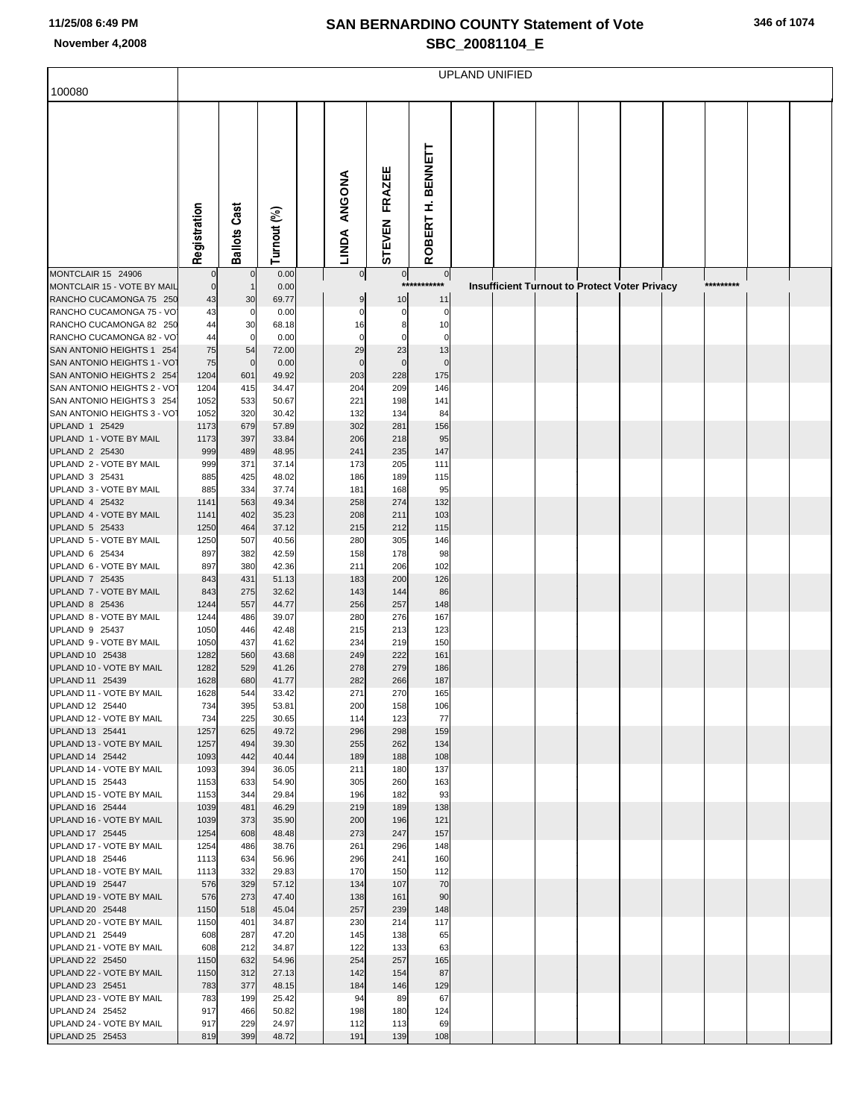## **SAN BERNARDINO COUNTY Statement of Vote November 4,2008 SBC\_20081104\_E**

|  |  | 346 of 1074 |
|--|--|-------------|
|--|--|-------------|

|                                                          | <b>UPLAND UNIFIED</b> |                     |                |  |                   |                   |                               |  |  |  |                                                      |  |           |  |
|----------------------------------------------------------|-----------------------|---------------------|----------------|--|-------------------|-------------------|-------------------------------|--|--|--|------------------------------------------------------|--|-----------|--|
| 100080                                                   |                       |                     |                |  |                   |                   |                               |  |  |  |                                                      |  |           |  |
|                                                          |                       |                     |                |  |                   |                   |                               |  |  |  |                                                      |  |           |  |
|                                                          |                       |                     |                |  |                   |                   |                               |  |  |  |                                                      |  |           |  |
|                                                          |                       |                     |                |  |                   |                   |                               |  |  |  |                                                      |  |           |  |
|                                                          |                       |                     |                |  |                   |                   | <b>BENNETT</b>                |  |  |  |                                                      |  |           |  |
|                                                          |                       |                     |                |  |                   |                   |                               |  |  |  |                                                      |  |           |  |
|                                                          |                       |                     |                |  | ANGONA            | FRAZEE            |                               |  |  |  |                                                      |  |           |  |
|                                                          |                       |                     |                |  |                   |                   | £                             |  |  |  |                                                      |  |           |  |
|                                                          |                       |                     |                |  |                   |                   |                               |  |  |  |                                                      |  |           |  |
|                                                          |                       |                     |                |  |                   |                   |                               |  |  |  |                                                      |  |           |  |
|                                                          | Registration          | <b>Ballots Cast</b> | Turnout (%)    |  | <b>LINDA</b>      | <b>STEVEN</b>     | ROBERT                        |  |  |  |                                                      |  |           |  |
|                                                          |                       |                     |                |  |                   |                   |                               |  |  |  |                                                      |  |           |  |
| MONTCLAIR 15 24906<br>MONTCLAIR 15 - VOTE BY MAIL        | $\Omega$              | $\mathbf 0$         | 0.00<br>0.00   |  | $\overline{0}$    | 0                 | $\overline{0}$<br>*********** |  |  |  | <b>Insufficient Turnout to Protect Voter Privacy</b> |  | ********* |  |
| RANCHO CUCAMONGA 75 250                                  | 43                    | 30                  | 69.77          |  | 9                 | 10                | 11                            |  |  |  |                                                      |  |           |  |
| RANCHO CUCAMONGA 75 - VO                                 | 43                    | 0                   | 0.00           |  | $\Omega$          | 0                 | 0                             |  |  |  |                                                      |  |           |  |
| RANCHO CUCAMONGA 82 250                                  | 44                    | 30                  | 68.18          |  | 16                | 8                 | 10                            |  |  |  |                                                      |  |           |  |
| RANCHO CUCAMONGA 82 - VO<br>SAN ANTONIO HEIGHTS 1 254    | 44<br>75              | 0<br>54             | 0.00<br>72.00  |  | $\mathbf 0$<br>29 | $\mathbf 0$<br>23 | 0<br>13                       |  |  |  |                                                      |  |           |  |
| SAN ANTONIO HEIGHTS 1 - VO                               | 75                    | $\mathbf 0$         | 0.00           |  | $\mathbf 0$       | $\mathbf 0$       | $\mathbf 0$                   |  |  |  |                                                      |  |           |  |
| SAN ANTONIO HEIGHTS 2 254                                | 1204                  | 601                 | 49.92          |  | 203               | 228               | 175                           |  |  |  |                                                      |  |           |  |
| SAN ANTONIO HEIGHTS 2 - VO                               | 1204                  | 415                 | 34.47          |  | 204               | 209               | 146                           |  |  |  |                                                      |  |           |  |
| SAN ANTONIO HEIGHTS 3 254<br>SAN ANTONIO HEIGHTS 3 - VOT | 1052<br>1052          | 533<br>320          | 50.67<br>30.42 |  | 221<br>132        | 198<br>134        | 141<br>84                     |  |  |  |                                                      |  |           |  |
| UPLAND 1 25429                                           | 1173                  | 679                 | 57.89          |  | 302               | 281               | 156                           |  |  |  |                                                      |  |           |  |
| UPLAND 1 - VOTE BY MAIL                                  | 1173                  | 397                 | 33.84          |  | 206               | 218               | 95                            |  |  |  |                                                      |  |           |  |
| UPLAND 2 25430                                           | 999                   | 489                 | 48.95          |  | 241               | 235               | 147                           |  |  |  |                                                      |  |           |  |
| UPLAND 2 - VOTE BY MAIL<br>UPLAND 3 25431                | 999<br>885            | 371<br>425          | 37.14<br>48.02 |  | 173<br>186        | 205<br>189        | 111<br>115                    |  |  |  |                                                      |  |           |  |
| UPLAND 3 - VOTE BY MAIL                                  | 885                   | 334                 | 37.74          |  | 181               | 168               | 95                            |  |  |  |                                                      |  |           |  |
| UPLAND 4 25432                                           | 1141                  | 563                 | 49.34          |  | 258               | 274               | 132                           |  |  |  |                                                      |  |           |  |
| UPLAND 4 - VOTE BY MAIL                                  | 1141                  | 402                 | 35.23          |  | 208               | 211               | 103                           |  |  |  |                                                      |  |           |  |
| UPLAND 5 25433                                           | 1250                  | 464                 | 37.12          |  | 215               | 212               | 115                           |  |  |  |                                                      |  |           |  |
| UPLAND 5 - VOTE BY MAIL<br>UPLAND 6 25434                | 1250<br>897           | 507<br>382          | 40.56<br>42.59 |  | 280<br>158        | 305<br>178        | 146<br>98                     |  |  |  |                                                      |  |           |  |
| UPLAND 6 - VOTE BY MAIL                                  | 897                   | 380                 | 42.36          |  | 211               | 206               | 102                           |  |  |  |                                                      |  |           |  |
| UPLAND 7 25435                                           | 843                   | 431                 | 51.13          |  | 183               | 200               | 126                           |  |  |  |                                                      |  |           |  |
| UPLAND 7 - VOTE BY MAIL<br>UPLAND 8 25436                | 843                   | 275                 | 32.62          |  | 143<br>256        | 144<br>257        | 86<br>148                     |  |  |  |                                                      |  |           |  |
| UPLAND 8 - VOTE BY MAIL                                  | 1244<br>1244          | 557<br>486          | 44.77<br>39.07 |  | 280               | 276               | 167                           |  |  |  |                                                      |  |           |  |
| UPLAND 9 25437                                           | 1050                  | 446                 | 42.48          |  | 215               | 213               | 123                           |  |  |  |                                                      |  |           |  |
| UPLAND 9 - VOTE BY MAIL                                  | 1050                  | 437                 | 41.62          |  | 234               | 219               | 150                           |  |  |  |                                                      |  |           |  |
| UPLAND 10 25438<br>UPLAND 10 - VOTE BY MAIL              | 1282<br>1282          | 560<br>529          | 43.68<br>41.26 |  | 249<br>278        | 222<br>279        | 161<br>186                    |  |  |  |                                                      |  |           |  |
| UPLAND 11 25439                                          | 1628                  | 680                 | 41.77          |  | 282               | 266               | 187                           |  |  |  |                                                      |  |           |  |
| UPLAND 11 - VOTE BY MAIL                                 | 1628                  | 544                 | 33.42          |  | 271               | 270               | 165                           |  |  |  |                                                      |  |           |  |
| UPLAND 12 25440                                          | 734                   | 395                 | 53.81          |  | 200               | 158               | 106                           |  |  |  |                                                      |  |           |  |
| UPLAND 12 - VOTE BY MAIL<br>UPLAND 13 25441              | 734<br>1257           | 225<br>625          | 30.65<br>49.72 |  | 114<br>296        | 123<br>298        | 77<br>159                     |  |  |  |                                                      |  |           |  |
| UPLAND 13 - VOTE BY MAIL                                 | 1257                  | 494                 | 39.30          |  | 255               | 262               | 134                           |  |  |  |                                                      |  |           |  |
| UPLAND 14 25442                                          | 1093                  | 442                 | 40.44          |  | 189               | 188               | 108                           |  |  |  |                                                      |  |           |  |
| UPLAND 14 - VOTE BY MAIL                                 | 1093                  | 394                 | 36.05          |  | 211               | 180               | 137                           |  |  |  |                                                      |  |           |  |
| UPLAND 15 25443<br>UPLAND 15 - VOTE BY MAIL              | 1153<br>1153          | 633<br>344          | 54.90<br>29.84 |  | 305<br>196        | 260<br>182        | 163<br>93                     |  |  |  |                                                      |  |           |  |
| UPLAND 16 25444                                          | 1039                  | 481                 | 46.29          |  | 219               | 189               | 138                           |  |  |  |                                                      |  |           |  |
| UPLAND 16 - VOTE BY MAIL                                 | 1039                  | 373                 | 35.90          |  | 200               | 196               | 121                           |  |  |  |                                                      |  |           |  |
| UPLAND 17 25445                                          | 1254                  | 608                 | 48.48          |  | 273               | 247               | 157                           |  |  |  |                                                      |  |           |  |
| UPLAND 17 - VOTE BY MAIL<br>UPLAND 18 25446              | 1254<br>1113          | 486<br>634          | 38.76<br>56.96 |  | 261<br>296        | 296<br>241        | 148<br>160                    |  |  |  |                                                      |  |           |  |
| UPLAND 18 - VOTE BY MAIL                                 | 1113                  | 332                 | 29.83          |  | 170               | 150               | 112                           |  |  |  |                                                      |  |           |  |
| UPLAND 19 25447                                          | 576                   | 329                 | 57.12          |  | 134               | 107               | 70                            |  |  |  |                                                      |  |           |  |
| UPLAND 19 - VOTE BY MAIL                                 | 576                   | 273                 | 47.40          |  | 138               | 161               | 90                            |  |  |  |                                                      |  |           |  |
| UPLAND 20 25448<br>UPLAND 20 - VOTE BY MAIL              | 1150<br>1150          | 518<br>401          | 45.04<br>34.87 |  | 257<br>230        | 239<br>214        | 148<br>117                    |  |  |  |                                                      |  |           |  |
| UPLAND 21 25449                                          | 608                   | 287                 | 47.20          |  | 145               | 138               | 65                            |  |  |  |                                                      |  |           |  |
| UPLAND 21 - VOTE BY MAIL                                 | 608                   | 212                 | 34.87          |  | 122               | 133               | 63                            |  |  |  |                                                      |  |           |  |
| UPLAND 22 25450                                          | 1150                  | 632                 | 54.96          |  | 254               | 257               | 165                           |  |  |  |                                                      |  |           |  |
| UPLAND 22 - VOTE BY MAIL<br>UPLAND 23 25451              | 1150<br>783           | 312<br>377          | 27.13<br>48.15 |  | 142<br>184        | 154<br>146        | 87<br>129                     |  |  |  |                                                      |  |           |  |
| UPLAND 23 - VOTE BY MAIL                                 | 783                   | 199                 | 25.42          |  | 94                | 89                | 67                            |  |  |  |                                                      |  |           |  |
| UPLAND 24 25452                                          | 917                   | 466                 | 50.82          |  | 198               | 180               | 124                           |  |  |  |                                                      |  |           |  |
| UPLAND 24 - VOTE BY MAIL                                 | 917                   | 229                 | 24.97          |  | 112               | 113               | 69                            |  |  |  |                                                      |  |           |  |
| UPLAND 25 25453                                          | 819                   | 399                 | 48.72          |  | 191               | 139               | 108                           |  |  |  |                                                      |  |           |  |